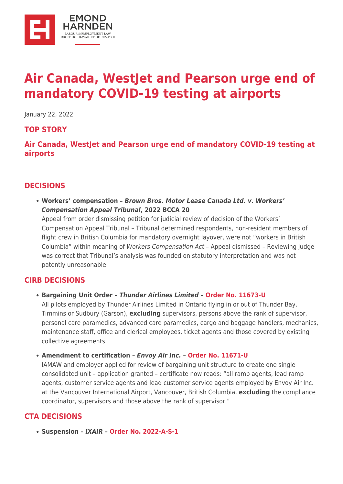

# **[Air Canada, WestJet and Pearson urge end of](https://ehlaw.ca/air-canada-westjet-and-pearson-urge-end-of-mandatory-covid-19-testing-at-airports/) [mandatory COVID-19 testing at airports](https://ehlaw.ca/air-canada-westjet-and-pearson-urge-end-of-mandatory-covid-19-testing-at-airports/)**

January 22, 2022

#### **TOP STORY**

**[Air Canada, WestJet and Pearson urge end of mandatory COVID-19 testing at](https://financialpost.com/transportation/airlines/air-canada-westjet-and-pearson-call-on-government-to-remove-mandatory-covid-19-testing-at-airports) [airports](https://financialpost.com/transportation/airlines/air-canada-westjet-and-pearson-call-on-government-to-remove-mandatory-covid-19-testing-at-airports)**

#### **DECISIONS**

**Workers' compensation –** *Brown Bros. Motor Lease Canada Ltd. v. Workers' Compensation Appeal Tribunal***, 2022 BCCA 20** Appeal from order dismissing petition for judicial review of decision of the Workers' Compensation Appeal Tribunal – Tribunal determined respondents, non-resident members of flight crew in British Columbia for mandatory overnight layover, were not "workers in British Columbia" within meaning of Workers Compensation Act – Appeal dismissed – Reviewing judge was correct that Tribunal's analysis was founded on statutory interpretation and was not patently unreasonable

#### **CIRB DECISIONS**

**Bargaining Unit Order –** *Thunder Airlines Limited* **– [Order No. 11673-U](https://decisia.lexum.com/cirb-ccri/cirb-ccri/en/item/519613/index.do)**

All pilots employed by Thunder Airlines Limited in Ontario flying in or out of Thunder Bay, Timmins or Sudbury (Garson), **excluding** supervisors, persons above the rank of supervisor, personal care paramedics, advanced care paramedics, cargo and baggage handlers, mechanics, maintenance staff, office and clerical employees, ticket agents and those covered by existing collective agreements

**Amendment to certification –** *Envoy Air Inc.* **– [Order No. 11671-U](https://decisia.lexum.com/cirb-ccri/cirb-ccri/en/item/519460/index.do)**

IAMAW and employer applied for review of bargaining unit structure to create one single consolidated unit – application granted – certificate now reads: "all ramp agents, lead ramp agents, customer service agents and lead customer service agents employed by Envoy Air Inc. at the Vancouver International Airport, Vancouver, British Columbia, **excluding** the compliance coordinator, supervisors and those above the rank of supervisor."

## **CTA DECISIONS**

**Suspension –** *IXAIR* **– [Order No. 2022-A-S-1](https://otc-cta.gc.ca/eng/ruling/2022-a-s-1)**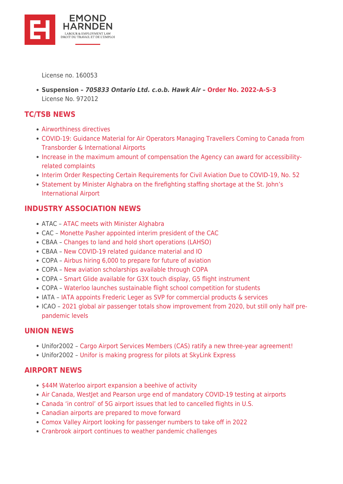

License no. 160053

**Suspension –** *705833 Ontario Ltd. c.o.b. Hawk Air* **– [Order No. 2022-A-S-3](https://otc-cta.gc.ca/eng/ruling/2022-a-s-3)** License No. 972012

### **TC/TSB NEWS**

- [Airworthiness directives](https://wwwapps.tc.gc.ca/Saf-Sec-Sur/2/cawis-swimn/AD_r.aspx?recent=&rgs=)
- [COVID-19: Guidance Material for Air Operators Managing Travellers Coming to Canada from](https://tc.canada.ca/en/initiatives/covid-19-measures-updates-guidance-issued-transport-canada/covid-19-guidance-material-air-operators-managing-travellers-coming-canada-transborder-international-airports) [Transborder & International Airports](https://tc.canada.ca/en/initiatives/covid-19-measures-updates-guidance-issued-transport-canada/covid-19-guidance-material-air-operators-managing-travellers-coming-canada-transborder-international-airports)
- [Increase in the maximum amount of compensation the Agency can award for accessibility](https://www.canada.ca/en/transportation-agency/news/2022/01/increase-in-the-maximum-amount-of-compensation-the-agency-can-award-for-accessibility-related-complaints.html)[related complaints](https://www.canada.ca/en/transportation-agency/news/2022/01/increase-in-the-maximum-amount-of-compensation-the-agency-can-award-for-accessibility-related-complaints.html)
- [Interim Order Respecting Certain Requirements for Civil Aviation Due to COVID-19, No. 52](https://tc.canada.ca/en/ministerial-orders-interim-orders-directives-directions-response-letters/interim-order-respecting-certain-requirements-civil-aviation-due-covid-19-no-52)
- [Statement by Minister Alghabra on the firefighting staffing shortage at the St. John's](https://www.canada.ca/en/transport-canada/news/2022/01/statement-by-minister-alghabra-on-the-firefighting-staffing-shortage-at-the-st-johns-international-airport.html) [International Airport](https://www.canada.ca/en/transport-canada/news/2022/01/statement-by-minister-alghabra-on-the-firefighting-staffing-shortage-at-the-st-johns-international-airport.html)

## **INDUSTRY ASSOCIATION NEWS**

- ATAC – [ATAC meets with Minister Alghabra](https://www.atac.ca/post/atac-meets-with-minister-alghabra)
- CAC – [Monette Pasher appointed interim president of the CAC](https://canadasairports.ca/press_release/monette-pasher-appointed-interim-president-of-the-cac/)
- CBAA [Changes to land and hold short operations \(LAHSO\)](https://www.cbaa-acaa.ca/CBAA/News/Changes_to_Land_and_Hold_Short_Operations__LAHSO_.aspx)
- CBAA [New COVID-19 related guidance material and IO](https://www.cbaa-acaa.ca/CBAA/News/New_COVID-19_Related_Guidance_Material_and_IO.aspx)
- COPA – [Airbus hiring 6,000 to prepare for future of aviation](https://copanational.org/airbus-hiring-6000-to-prepare-for-future-of-aviation/)
- COPA – [New aviation scholarships available through COPA](https://copanational.org/new-aviation-scholarships-available-through-copa/)
- COPA – [Smart Glide available for G3X touch display, G5 flight instrument](https://copanational.org/smart-glide-available-for-g3x-touch-display-g5-flight-instrument/)
- COPA – [Waterloo launches sustainable flight school competition for students](https://copanational.org/waterloo-launches-sustainable-flight-school-competition-for-students/)
- IATA - [IATA appoints Frederic Leger as SVP for commercial products & services](https://www.iata.org/en/pressroom/2022-releases/2022-01-17-01/)
- ICAO – [2021 global air passenger totals show improvement from 2020, but still only half pre](https://www.icao.int/Newsroom/Pages/2021-global-air-passenger-totals-show-improvement.aspx)[pandemic levels](https://www.icao.int/Newsroom/Pages/2021-global-air-passenger-totals-show-improvement.aspx)

#### **UNION NEWS**

- Unifor2002 [Cargo Airport Services Members \(CAS\) ratify a new three-year agreement!](https://www.unifor2002.org/News-Room/Cargo-Airport-Services-Canada/Cargo-Airport-Services-Members-(CAS)-ratify-a-new)
- Unifor2002 [Unifor is making progress for pilots at SkyLink Express](https://www.unifor2002.org/News-Room/SkyLink-Express/Unifor-is-making-progress-for-Pilots-at-SkyLink-Ex)

#### **AIRPORT NEWS**

- [\\$44M Waterloo airport expansion a beehive of activity](https://canada.constructconnect.com/dcn/news/infrastructure/2022/01/44m-waterloo-airport-expansion-a-beehive-of-activity)
- Air Canada, Westlet and Pearson urge end of mandatory COVID-19 testing at airports
- [Canada 'in control' of 5G airport issues that led to cancelled flights in U.S.](https://nationalpost.com/news/canada/canada-in-control-of-5g-airport-issues-that-led-to-cancelled-flights-in-u-s)
- [Canadian airports are prepared to move forward](https://canadianaviationnews.wordpress.com/2022/01/17/canadian-airports-are-prepared-to-move-forward/)
- [Comox Valley Airport looking for passenger numbers to take off in 2022](https://www.pqbnews.com/business/comox-valley-airport-looking-for-passenger-numbers-to-take-off-in-2022/)
- [Cranbrook airport continues to weather pandemic challenges](https://www.cranbrooktownsman.com/news/cranbrook-airport-continues-to-weather-pandemic-challenges/)